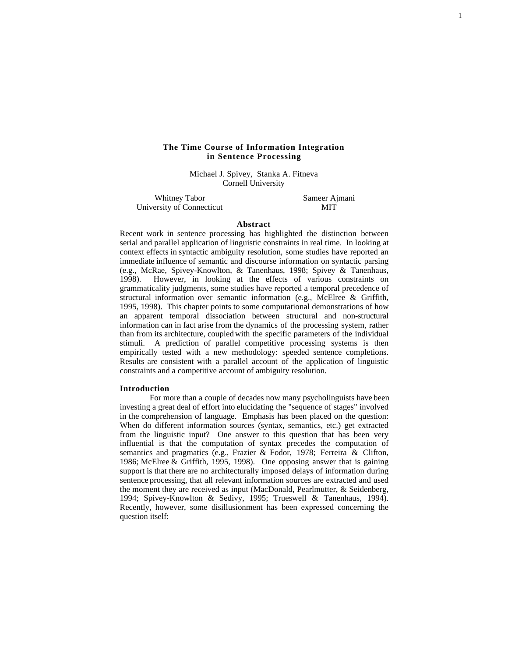## **The Time Course of Information Integration in Sentence Processing**

Michael J. Spivey, Stanka A. Fitneva Cornell University

Whitney Tabor Sameer Ajmani<br>
ersity of Connecticut MIT University of Connecticut

# **Abstract**

Recent work in sentence processing has highlighted the distinction between serial and parallel application of linguistic constraints in real time. In looking at context effects in syntactic ambiguity resolution, some studies have reported an immediate influence of semantic and discourse information on syntactic parsing (e.g., McRae, Spivey-Knowlton, & Tanenhaus, 1998; Spivey & Tanenhaus, 1998). However, in looking at the effects of various constraints on grammaticality judgments, some studies have reported a temporal precedence of structural information over semantic information (e.g., McElree & Griffith, 1995, 1998). This chapter points to some computational demonstrations of how an apparent temporal dissociation between structural and non-structural information can in fact arise from the dynamics of the processing system, rather than from its architecture, coupled with the specific parameters of the individual stimuli. A prediction of parallel competitive processing systems is then empirically tested with a new methodology: speeded sentence completions. Results are consistent with a parallel account of the application of linguistic constraints and a competitive account of ambiguity resolution.

#### **Introduction**

For more than a couple of decades now many psycholinguists have been investing a great deal of effort into elucidating the "sequence of stages" involved in the comprehension of language. Emphasis has been placed on the question: When do different information sources (syntax, semantics, etc.) get extracted from the linguistic input? One answer to this question that has been very influential is that the computation of syntax precedes the computation of semantics and pragmatics (e.g., Frazier & Fodor, 1978; Ferreira & Clifton, 1986; McElree & Griffith, 1995, 1998). One opposing answer that is gaining support is that there are no architecturally imposed delays of information during sentence processing, that all relevant information sources are extracted and used the moment they are received as input (MacDonald, Pearlmutter, & Seidenberg, 1994; Spivey-Knowlton & Sedivy, 1995; Trueswell & Tanenhaus, 1994). Recently, however, some disillusionment has been expressed concerning the question itself: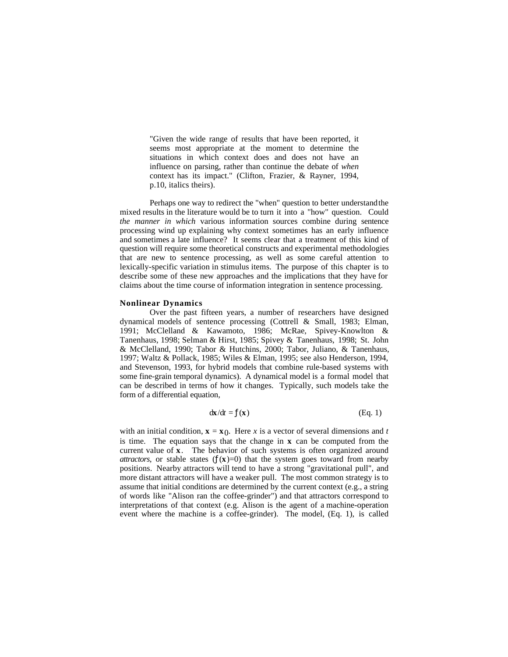"Given the wide range of results that have been reported, it seems most appropriate at the moment to determine the situations in which context does and does not have an influence on parsing, rather than continue the debate of *when* context has its impact." (Clifton, Frazier, & Rayner, 1994, p.10, italics theirs).

Perhaps one way to redirect the "when" question to better understand the mixed results in the literature would be to turn it into a "how" question. Could *the manner in which* various information sources combine during sentence processing wind up explaining why context sometimes has an early influence and sometimes a late influence? It seems clear that a treatment of this kind of question will require some theoretical constructs and experimental methodologies that are new to sentence processing, as well as some careful attention to lexically-specific variation in stimulus items. The purpose of this chapter is to describe some of these new approaches and the implications that they have for claims about the time course of information integration in sentence processing.

## **Nonlinear Dynamics**

Over the past fifteen years, a number of researchers have designed dynamical models of sentence processing (Cottrell & Small, 1983; Elman, 1991; McClelland & Kawamoto, 1986; McRae, Spivey-Knowlton & Tanenhaus, 1998; Selman & Hirst, 1985; Spivey & Tanenhaus, 1998; St. John & McClelland, 1990; Tabor & Hutchins, 2000; Tabor, Juliano, & Tanenhaus, 1997; Waltz & Pollack, 1985; Wiles & Elman, 1995; see also Henderson, 1994, and Stevenson, 1993, for hybrid models that combine rule-based systems with some fine-grain temporal dynamics). A dynamical model is a formal model that can be described in terms of how it changes. Typically, such models take the form of a differential equation,

$$
dx/dt = f(x) \tag{Eq. 1}
$$

with an initial condition,  $\mathbf{x} = \mathbf{x}$ <sub>0</sub>. Here *x* is a vector of several dimensions and *t* is time. The equation says that the change in **x** can be computed from the current value of **x**. The behavior of such systems is often organized around *attractors*, or stable states  $(f(x)=0)$  that the system goes toward from nearby positions. Nearby attractors will tend to have a strong "gravitational pull", and more distant attractors will have a weaker pull. The most common strategy is to assume that initial conditions are determined by the current context (e.g., a string of words like "Alison ran the coffee-grinder") and that attractors correspond to interpretations of that context (e.g. Alison is the agent of a machine-operation event where the machine is a coffee-grinder). The model, (Eq. 1), is called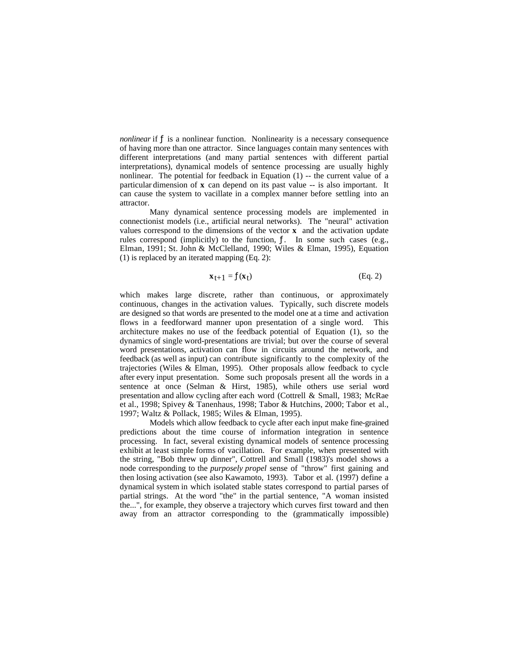*nonlinear* if f is a nonlinear function. Nonlinearity is a necessary consequence of having more than one attractor. Since languages contain many sentences with different interpretations (and many partial sentences with different partial interpretations), dynamical models of sentence processing are usually highly nonlinear. The potential for feedback in Equation (1) -- the current value of a particular dimension of **x** can depend on its past value -- is also important. It can cause the system to vacillate in a complex manner before settling into an attractor.

Many dynamical sentence processing models are implemented in connectionist models (i.e., artificial neural networks). The "neural" activation values correspond to the dimensions of the vector **x** and the activation update rules correspond (implicitly) to the function,  $f$ . In some such cases (e.g., Elman, 1991; St. John & McClelland, 1990; Wiles & Elman, 1995), Equation (1) is replaced by an iterated mapping (Eq. 2):

$$
\mathbf{x}_{t+1} = f(\mathbf{x}_t) \tag{Eq. 2}
$$

which makes large discrete, rather than continuous, or approximately continuous, changes in the activation values. Typically, such discrete models are designed so that words are presented to the model one at a time and activation flows in a feedforward manner upon presentation of a single word. This architecture makes no use of the feedback potential of Equation (1), so the dynamics of single word-presentations are trivial; but over the course of several word presentations, activation can flow in circuits around the network, and feedback (as well as input) can contribute significantly to the complexity of the trajectories (Wiles & Elman, 1995). Other proposals allow feedback to cycle after every input presentation. Some such proposals present all the words in a sentence at once (Selman & Hirst, 1985), while others use serial word presentation and allow cycling after each word (Cottrell & Small, 1983; McRae et al., 1998; Spivey & Tanenhaus, 1998; Tabor & Hutchins, 2000; Tabor et al., 1997; Waltz & Pollack, 1985; Wiles & Elman, 1995).

Models which allow feedback to cycle after each input make fine-grained predictions about the time course of information integration in sentence processing. In fact, several existing dynamical models of sentence processing exhibit at least simple forms of vacillation. For example, when presented with the string, "Bob threw up dinner", Cottrell and Small (1983)'s model shows a node corresponding to the *purposely propel* sense of "throw" first gaining and then losing activation (see also Kawamoto, 1993). Tabor et al. (1997) define a dynamical system in which isolated stable states correspond to partial parses of partial strings. At the word "the" in the partial sentence, "A woman insisted the...", for example, they observe a trajectory which curves first toward and then away from an attractor corresponding to the (grammatically impossible)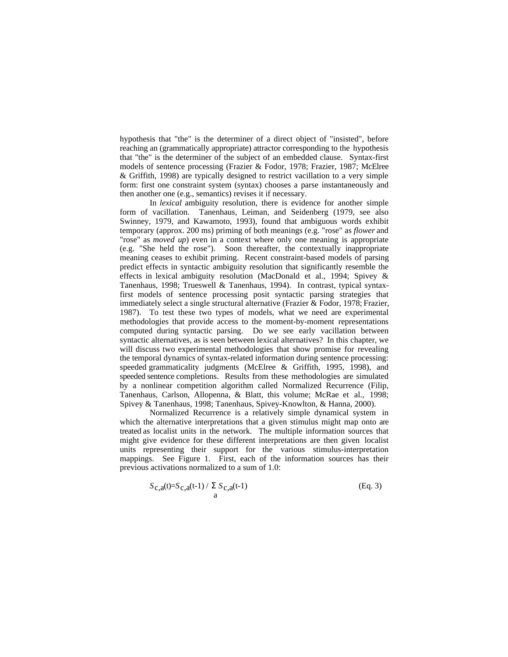hypothesis that "the" is the determiner of a direct object of "insisted", before reaching an (grammatically appropriate) attractor corresponding to the hypothesis that "the" is the determiner of the subject of an embedded clause. Syntax-first models of sentence processing (Frazier & Fodor, 1978; Frazier, 1987; McElree & Griffith, 1998) are typically designed to restrict vacillation to a very simple form: first one constraint system (syntax) chooses a parse instantaneously and then another one (e.g., semantics) revises it if necessary.

In *lexical* ambiguity resolution, there is evidence for another simple form of vacillation. Tanenhaus, Leiman, and Seidenberg (1979, see also Swinney, 1979, and Kawamoto, 1993), found that ambiguous words exhibit temporary (approx. 200 ms) priming of both meanings (e.g. "rose" as *flower* and "rose" as *moved up*) even in a context where only one meaning is appropriate (e.g. "She held the rose"). Soon thereafter, the contextually inappropriate meaning ceases to exhibit priming. Recent constraint-based models of parsing predict effects in syntactic ambiguity resolution that significantly resemble the effects in lexical ambiguity resolution (MacDonald et al., 1994; Spivey & Tanenhaus, 1998; Trueswell & Tanenhaus, 1994). In contrast, typical syntaxfirst models of sentence processing posit syntactic parsing strategies that immediately select a single structural alternative (Frazier & Fodor, 1978; Frazier, 1987). To test these two types of models, what we need are experimental methodologies that provide access to the moment-by-moment representations computed during syntactic parsing. Do we see early vacillation between syntactic alternatives, as is seen between lexical alternatives? In this chapter, we will discuss two experimental methodologies that show promise for revealing the temporal dynamics of syntax-related information during sentence processing: speeded grammaticality judgments (McElree & Griffith, 1995, 1998), and speeded sentence completions. Results from these methodologies are simulated by a nonlinear competition algorithm called Normalized Recurrence (Filip, Tanenhaus, Carlson, Allopenna, & Blatt, this volume; McRae et al., 1998; Spivey & Tanenhaus, 1998; Tanenhaus, Spivey-Knowlton, & Hanna, 2000).

Normalized Recurrence is a relatively simple dynamical system in which the alternative interpretations that a given stimulus might map onto are treated as localist units in the network. The multiple information sources that might give evidence for these different interpretations are then given localist units representing their support for the various stimulus-interpretation mappings. See Figure 1. First, each of the information sources has their previous activations normalized to a sum of 1.0:

$$
S_{c,a}(t)=S_{c,a}(t-1) / S_{c,a}(t-1)
$$
 (Eq. 3)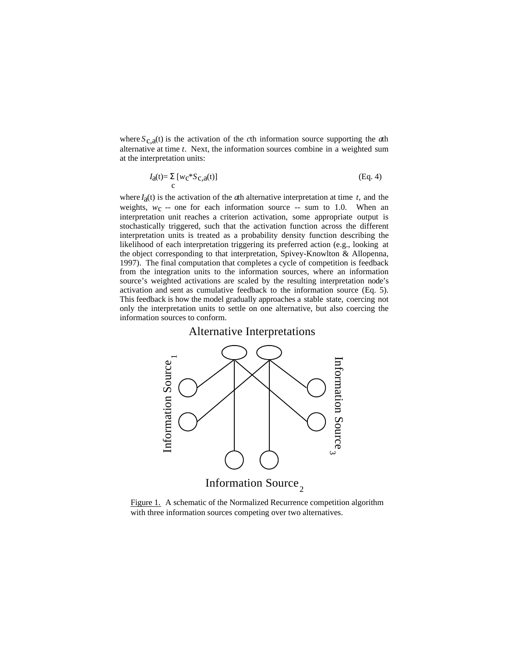where  $S_{c,a}(t)$  is the activation of the *c*th information source supporting the *a*th alternative at time *t*. Next, the information sources combine in a weighted sum at the interpretation units:

$$
I_{a}(t) = \begin{bmatrix} w_{c} * S_{c,a}(t) \end{bmatrix}
$$
 (Eq. 4)

where  $I_2(t)$  is the activation of the  $\alpha$ th alternative interpretation at time  $t$ , and the weights,  $w_c$  -- one for each information source -- sum to 1.0. When an interpretation unit reaches a criterion activation, some appropriate output is stochastically triggered, such that the activation function across the different interpretation units is treated as a probability density function describing the likelihood of each interpretation triggering its preferred action (e.g., looking at the object corresponding to that interpretation, Spivey-Knowlton & Allopenna, 1997). The final computation that completes a cycle of competition is feedback from the integration units to the information sources, where an information source's weighted activations are scaled by the resulting interpretation node's activation and sent as cumulative feedback to the information source (Eq. 5). This feedback is how the model gradually approaches a stable state, coercing not only the interpretation units to settle on one alternative, but also coercing the information sources to conform.

# Alternative Interpretations



Figure 1. A schematic of the Normalized Recurrence competition algorithm with three information sources competing over two alternatives.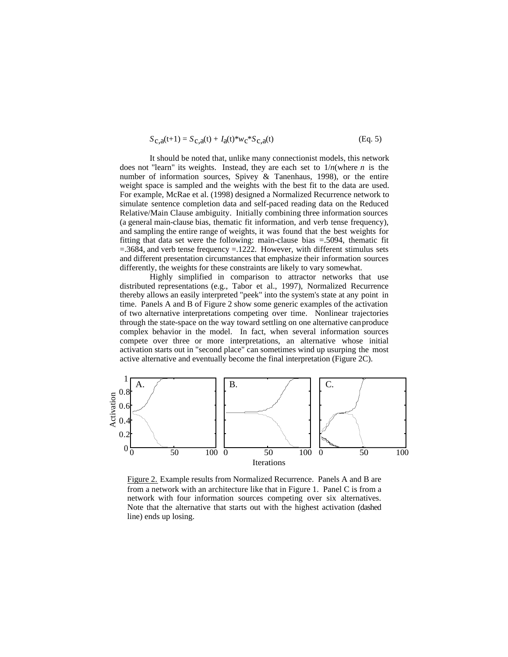$$
S_{c,a}(t+1) = S_{c,a}(t) + I_a(t)^* w_c^* S_{c,a}(t)
$$
 (Eq. 5)

It should be noted that, unlike many connectionist models, this network does not "learn" its weights. Instead, they are each set to  $1/n$  (where *n* is the number of information sources, Spivey & Tanenhaus, 1998), or the entire weight space is sampled and the weights with the best fit to the data are used. For example, McRae et al. (1998) designed a Normalized Recurrence network to simulate sentence completion data and self-paced reading data on the Reduced Relative/Main Clause ambiguity. Initially combining three information sources (a general main-clause bias, thematic fit information, and verb tense frequency), and sampling the entire range of weights, it was found that the best weights for fitting that data set were the following: main-clause bias =.5094, thematic fit  $=$  3684, and verb tense frequency  $=$  1222. However, with different stimulus sets and different presentation circumstances that emphasize their information sources differently, the weights for these constraints are likely to vary somewhat.

Highly simplified in comparison to attractor networks that use distributed representations (e.g., Tabor et al., 1997), Normalized Recurrence thereby allows an easily interpreted "peek" into the system's state at any point in time. Panels A and B of Figure 2 show some generic examples of the activation of two alternative interpretations competing over time. Nonlinear trajectories through the state-space on the way toward settling on one alternative can produce complex behavior in the model. In fact, when several information sources compete over three or more interpretations, an alternative whose initial activation starts out in "second place" can sometimes wind up usurping the most active alternative and eventually become the final interpretation (Figure 2C).



Figure 2. Example results from Normalized Recurrence. Panels A and B are from a network with an architecture like that in Figure 1. Panel C is from a network with four information sources competing over six alternatives. Note that the alternative that starts out with the highest activation (dashed line) ends up losing.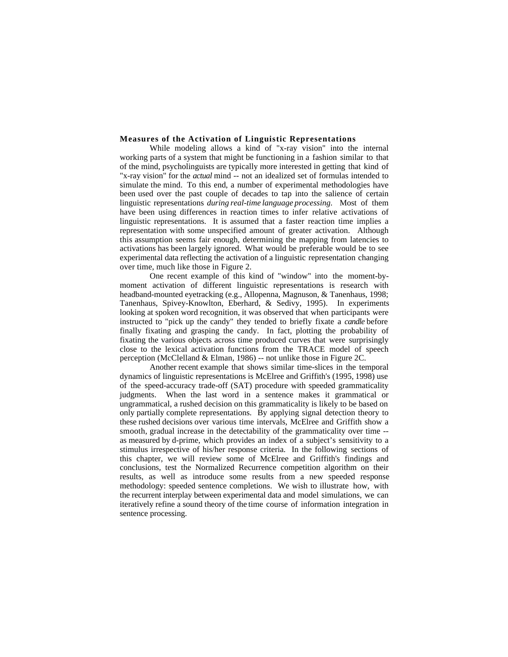#### **Measures of the Activation of Linguistic Representations**

While modeling allows a kind of "x-ray vision" into the internal working parts of a system that might be functioning in a fashion similar to that of the mind, psycholinguists are typically more interested in getting that kind of "x-ray vision" for the *actual* mind -- not an idealized set of formulas intended to simulate the mind. To this end, a number of experimental methodologies have been used over the past couple of decades to tap into the salience of certain linguistic representations *during real-time language processing*. Most of them have been using differences in reaction times to infer relative activations of linguistic representations. It is assumed that a faster reaction time implies a representation with some unspecified amount of greater activation. Although this assumption seems fair enough, determining the mapping from latencies to activations has been largely ignored. What would be preferable would be to see experimental data reflecting the activation of a linguistic representation changing over time, much like those in Figure 2.

One recent example of this kind of "window" into the moment-bymoment activation of different linguistic representations is research with headband-mounted eyetracking (e.g., Allopenna, Magnuson, & Tanenhaus, 1998; Tanenhaus, Spivey-Knowlton, Eberhard, & Sedivy, 1995). In experiments looking at spoken word recognition, it was observed that when participants were instructed to "pick up the candy" they tended to briefly fixate a *candle* before finally fixating and grasping the candy. In fact, plotting the probability of fixating the various objects across time produced curves that were surprisingly close to the lexical activation functions from the TRACE model of speech perception (McClelland & Elman, 1986) -- not unlike those in Figure 2C.

Another recent example that shows similar time-slices in the temporal dynamics of linguistic representations is McElree and Griffith's (1995, 1998) use of the speed-accuracy trade-off (SAT) procedure with speeded grammaticality judgments. When the last word in a sentence makes it grammatical or ungrammatical, a rushed decision on this grammaticality is likely to be based on only partially complete representations. By applying signal detection theory to these rushed decisions over various time intervals, McElree and Griffith show a smooth, gradual increase in the detectability of the grammaticality over time - as measured by d-prime, which provides an index of a subject's sensitivity to a stimulus irrespective of his/her response criteria. In the following sections of this chapter, we will review some of McElree and Griffith's findings and conclusions, test the Normalized Recurrence competition algorithm on their results, as well as introduce some results from a new speeded response methodology: speeded sentence completions. We wish to illustrate how, with the recurrent interplay between experimental data and model simulations, we can iteratively refine a sound theory of the time course of information integration in sentence processing.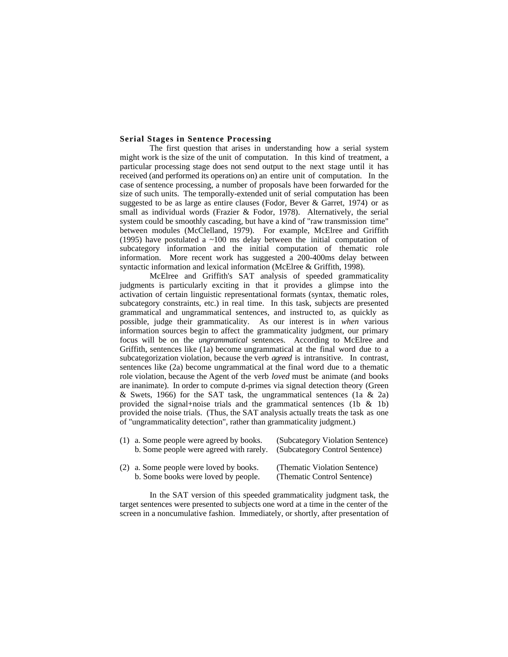#### **Serial Stages in Sentence Processing**

The first question that arises in understanding how a serial system might work is the size of the unit of computation. In this kind of treatment, a particular processing stage does not send output to the next stage until it has received (and performed its operations on) an entire unit of computation. In the case of sentence processing, a number of proposals have been forwarded for the size of such units. The temporally-extended unit of serial computation has been suggested to be as large as entire clauses (Fodor, Bever & Garret, 1974) or as small as individual words (Frazier  $\&$  Fodor, 1978). Alternatively, the serial system could be smoothly cascading, but have a kind of "raw transmission time" between modules (McClelland, 1979). For example, McElree and Griffith (1995) have postulated a  $\sim$ 100 ms delay between the initial computation of subcategory information and the initial computation of thematic role information. More recent work has suggested a 200-400ms delay between syntactic information and lexical information (McElree & Griffith, 1998).

McElree and Griffith's SAT analysis of speeded grammaticality judgments is particularly exciting in that it provides a glimpse into the activation of certain linguistic representational formats (syntax, thematic roles, subcategory constraints, etc.) in real time. In this task, subjects are presented grammatical and ungrammatical sentences, and instructed to, as quickly as possible, judge their grammaticality. As our interest is in *when* various information sources begin to affect the grammaticality judgment, our primary focus will be on the *ungrammatical* sentences. According to McElree and Griffith, sentences like (1a) become ungrammatical at the final word due to a subcategorization violation, because the verb *agreed* is intransitive. In contrast, sentences like (2a) become ungrammatical at the final word due to a thematic role violation, because the Agent of the verb *loved* must be animate (and books are inanimate). In order to compute d-primes via signal detection theory (Green & Swets, 1966) for the SAT task, the ungrammatical sentences (1a & 2a) provided the signal+noise trials and the grammatical sentences (1b  $\&$  1b) provided the noise trials. (Thus, the SAT analysis actually treats the task as one of "ungrammaticality detection", rather than grammaticality judgment.)

| (1) a. Some people were agreed by books.<br>b. Some people were agreed with rarely. | (Subcategory Violation Sentence)<br>(Subcategory Control Sentence) |
|-------------------------------------------------------------------------------------|--------------------------------------------------------------------|
| (2) a. Some people were loved by books.<br>b. Some books were loved by people.      | (Thematic Violation Sentence)<br>(Thematic Control Sentence)       |

In the SAT version of this speeded grammaticality judgment task, the target sentences were presented to subjects one word at a time in the center of the screen in a noncumulative fashion. Immediately, or shortly, after presentation of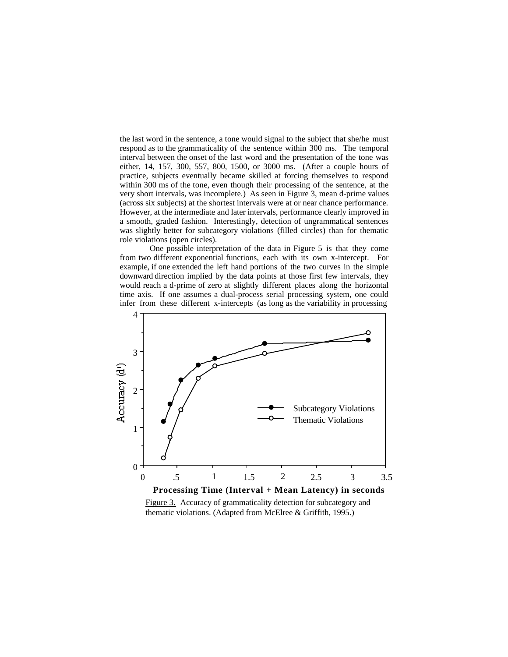the last word in the sentence, a tone would signal to the subject that she/he must respond as to the grammaticality of the sentence within 300 ms. The temporal interval between the onset of the last word and the presentation of the tone was either, 14, 157, 300, 557, 800, 1500, or 3000 ms. (After a couple hours of practice, subjects eventually became skilled at forcing themselves to respond within 300 ms of the tone, even though their processing of the sentence, at the very short intervals, was incomplete.) As seen in Figure 3, mean d-prime values (across six subjects) at the shortest intervals were at or near chance performance. However, at the intermediate and later intervals, performance clearly improved in a smooth, graded fashion. Interestingly, detection of ungrammatical sentences was slightly better for subcategory violations (filled circles) than for thematic role violations (open circles).

One possible interpretation of the data in Figure 5 is that they come from two different exponential functions, each with its own x-intercept. For example, if one extended the left hand portions of the two curves in the simple downward direction implied by the data points at those first few intervals, they would reach a d-prime of zero at slightly different places along the horizontal time axis. If one assumes a dual-process serial processing system, one could infer from these different x-intercepts (as long as the variability in processing



Figure 3. Accuracy of grammaticality detection for subcategory and thematic violations. (Adapted from McElree & Griffith, 1995.)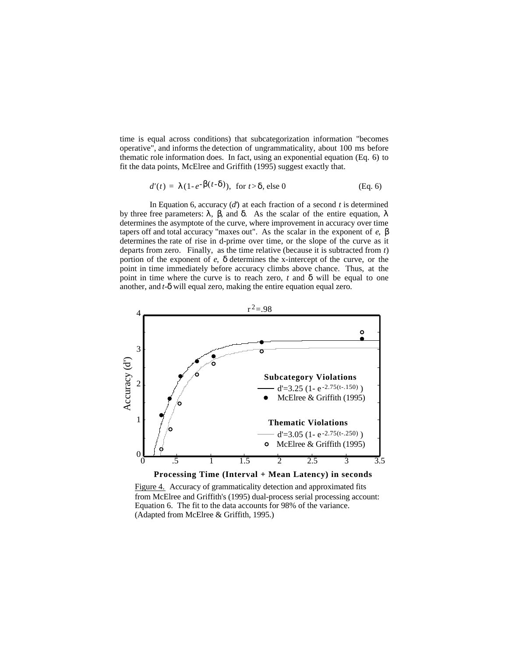time is equal across conditions) that subcategorization information "becomes operative", and informs the detection of ungrammaticality, about 100 ms before thematic role information does. In fact, using an exponential equation (Eq. 6) to fit the data points, McElree and Griffith (1995) suggest exactly that.

$$
d'(t) = (1 - e^{-t(-)})
$$
, for  $t > 0$ , else 0 (Eq. 6)

In Equation 6, accuracy (*d'*) at each fraction of a second *t* is determined by three free parameters: , , and . As the scalar of the entire equation, determines the asymptote of the curve, where improvement in accuracy over time tapers off and total accuracy "maxes out". As the scalar in the exponent of *e*, determines the rate of rise in d-prime over time, or the slope of the curve as it departs from zero. Finally, as the time relative (because it is subtracted from *t*) portion of the exponent of *e*, determines the x-intercept of the curve, or the point in time immediately before accuracy climbs above chance. Thus, at the point in time where the curve is to reach zero, *t* and will be equal to one another, and *t*- will equal zero, making the entire equation equal zero.



Figure 4. Accuracy of grammaticality detection and approximated fits from McElree and Griffith's (1995) dual-process serial processing account: Equation 6. The fit to the data accounts for 98% of the variance. (Adapted from McElree & Griffith, 1995.)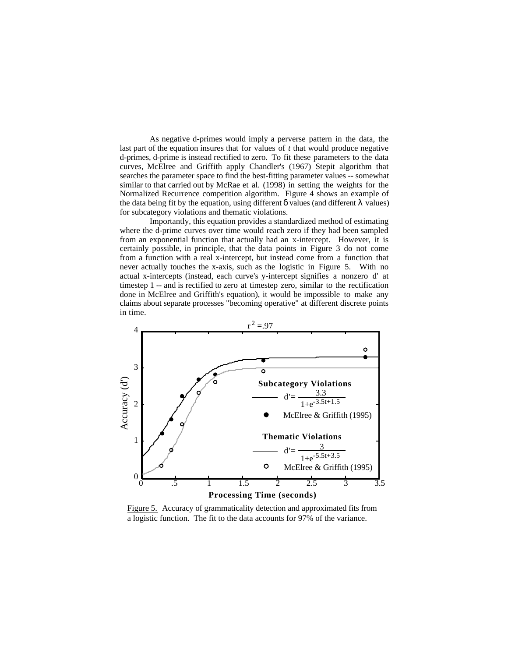As negative d-primes would imply a perverse pattern in the data, the last part of the equation insures that for values of *t* that would produce negative d-primes, d-prime is instead rectified to zero. To fit these parameters to the data curves, McElree and Griffith apply Chandler's (1967) Stepit algorithm that searches the parameter space to find the best-fitting parameter values -- somewhat similar to that carried out by McRae et al. (1998) in setting the weights for the Normalized Recurrence competition algorithm. Figure 4 shows an example of the data being fit by the equation, using different values (and different values) for subcategory violations and thematic violations.

Importantly, this equation provides a standardized method of estimating where the d-prime curves over time would reach zero if they had been sampled from an exponential function that actually had an x-intercept. However, it is certainly possible, in principle, that the data points in Figure 3 do not come from a function with a real x-intercept, but instead come from a function that never actually touches the x-axis, such as the logistic in Figure 5. With no actual x-intercepts (instead, each curve's y-intercept signifies a nonzero d' at timestep 1 -- and is rectified to zero at timestep zero, similar to the rectification done in McElree and Griffith's equation), it would be impossible to make any claims about separate processes "becoming operative" at different discrete points in time.



Figure 5. Accuracy of grammaticality detection and approximated fits from a logistic function. The fit to the data accounts for 97% of the variance.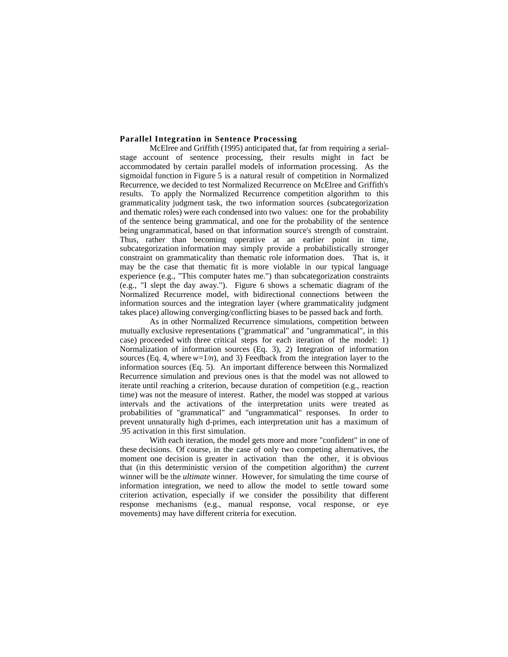## **Parallel Integration in Sentence Processing**

McElree and Griffith (1995) anticipated that, far from requiring a serialstage account of sentence processing, their results might in fact be accommodated by certain parallel models of information processing. As the sigmoidal function in Figure 5 is a natural result of competition in Normalized Recurrence, we decided to test Normalized Recurrence on McElree and Griffith's results. To apply the Normalized Recurrence competition algorithm to this grammaticality judgment task, the two information sources (subcategorization and thematic roles) were each condensed into two values: one for the probability of the sentence being grammatical, and one for the probability of the sentence being ungrammatical, based on that information source's strength of constraint. Thus, rather than becoming operative at an earlier point in time, subcategorization information may simply provide a probabilistically stronger constraint on grammaticality than thematic role information does. That is, it may be the case that thematic fit is more violable in our typical language experience (e.g., "This computer hates me.") than subcategorization constraints (e.g., "I slept the day away."). Figure 6 shows a schematic diagram of the Normalized Recurrence model, with bidirectional connections between the information sources and the integration layer (where grammaticality judgment takes place) allowing converging/conflicting biases to be passed back and forth.

As in other Normalized Recurrence simulations, competition between mutually exclusive representations ("grammatical" and "ungrammatical", in this case) proceeded with three critical steps for each iteration of the model: 1) Normalization of information sources (Eq. 3), 2) Integration of information sources (Eq. 4, where  $w=1/n$ ), and 3) Feedback from the integration layer to the information sources (Eq. 5). An important difference between this Normalized Recurrence simulation and previous ones is that the model was not allowed to iterate until reaching a criterion, because duration of competition (e.g., reaction time) was not the measure of interest. Rather, the model was stopped at various intervals and the activations of the interpretation units were treated as probabilities of "grammatical" and "ungrammatical" responses. In order to prevent unnaturally high d-primes, each interpretation unit has a maximum of .95 activation in this first simulation.

With each iteration, the model gets more and more "confident" in one of these decisions. Of course, in the case of only two competing alternatives, the moment one decision is greater in activation than the other, it is obvious that (in this deterministic version of the competition algorithm) the *current* winner will be the *ultimate* winner. However, for simulating the time course of information integration, we need to allow the model to settle toward some criterion activation, especially if we consider the possibility that different response mechanisms (e.g., manual response, vocal response, or eye movements) may have different criteria for execution.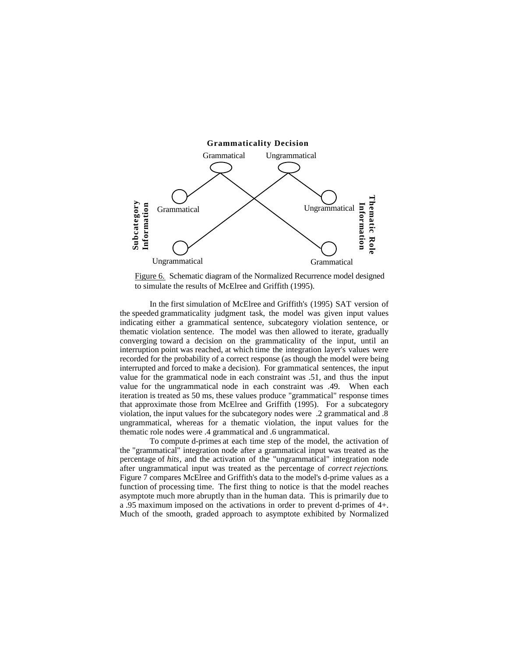

Figure 6. Schematic diagram of the Normalized Recurrence model designed to simulate the results of McElree and Griffith (1995).

In the first simulation of McElree and Griffith's (1995) SAT version of the speeded grammaticality judgment task, the model was given input values indicating either a grammatical sentence, subcategory violation sentence, or thematic violation sentence. The model was then allowed to iterate, gradually converging toward a decision on the grammaticality of the input, until an interruption point was reached, at which time the integration layer's values were recorded for the probability of a correct response (as though the model were being interrupted and forced to make a decision). For grammatical sentences, the input value for the grammatical node in each constraint was .51, and thus the input value for the ungrammatical node in each constraint was .49. When each iteration is treated as 50 ms, these values produce "grammatical" response times that approximate those from McElree and Griffith (1995). For a subcategory violation, the input values for the subcategory nodes were .2 grammatical and .8 ungrammatical, whereas for a thematic violation, the input values for the thematic role nodes were .4 grammatical and .6 ungrammatical.

To compute d-primes at each time step of the model, the activation of the "grammatical" integration node after a grammatical input was treated as the percentage of *hits*, and the activation of the "ungrammatical" integration node after ungrammatical input was treated as the percentage of *correct rejections*. Figure 7 compares McElree and Griffith's data to the model's d-prime values as a function of processing time. The first thing to notice is that the model reaches asymptote much more abruptly than in the human data. This is primarily due to a .95 maximum imposed on the activations in order to prevent d-primes of 4+. Much of the smooth, graded approach to asymptote exhibited by Normalized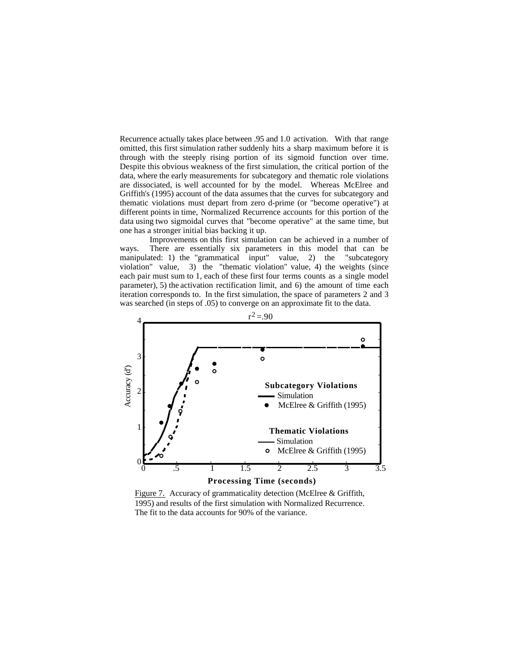Recurrence actually takes place between .95 and 1.0 activation. With that range omitted, this first simulation rather suddenly hits a sharp maximum before it is through with the steeply rising portion of its sigmoid function over time. Despite this obvious weakness of the first simulation, the critical portion of the data, where the early measurements for subcategory and thematic role violations are dissociated, is well accounted for by the model. Whereas McElree and Griffith's (1995) account of the data assumes that the curves for subcategory and thematic violations must depart from zero d-prime (or "become operative") at different points in time, Normalized Recurrence accounts for this portion of the data using two sigmoidal curves that "become operative" at the same time, but one has a stronger initial bias backing it up.

Improvements on this first simulation can be achieved in a number of ways. There are essentially six parameters in this model that can be manipulated: 1) the "grammatical input" value, 2) the "subcategory violation" value, 3) the "thematic violation" value, 4) the weights (since each pair must sum to 1, each of these first four terms counts as a single model parameter), 5) the activation rectification limit, and 6) the amount of time each iteration corresponds to. In the first simulation, the space of parameters 2 and 3 was searched (in steps of .05) to converge on an approximate fit to the data.



Figure 7. Accuracy of grammaticality detection (McElree & Griffith, 1995) and results of the first simulation with Normalized Recurrence. The fit to the data accounts for 90% of the variance.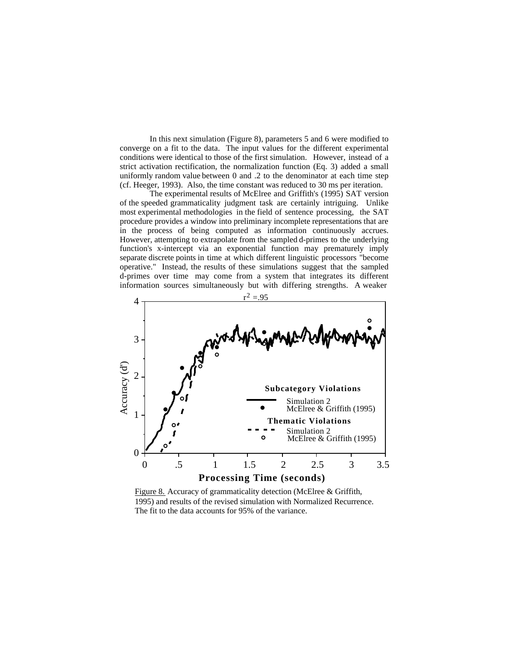In this next simulation (Figure 8), parameters 5 and 6 were modified to converge on a fit to the data. The input values for the different experimental conditions were identical to those of the first simulation. However, instead of a strict activation rectification, the normalization function (Eq. 3) added a small uniformly random value between 0 and .2 to the denominator at each time step (cf. Heeger, 1993). Also, the time constant was reduced to 30 ms per iteration.

The experimental results of McElree and Griffith's (1995) SAT version of the speeded grammaticality judgment task are certainly intriguing. Unlike most experimental methodologies in the field of sentence processing, the SAT procedure provides a window into preliminary incomplete representations that are in the process of being computed as information continuously accrues. However, attempting to extrapolate from the sampled d-primes to the underlying function's x-intercept via an exponential function may prematurely imply separate discrete points in time at which different linguistic processors "become operative." Instead, the results of these simulations suggest that the sampled d-primes over time may come from a system that integrates its different information sources simultaneously but with differing strengths. A weaker



Figure 8. Accuracy of grammaticality detection (McElree & Griffith, 1995) and results of the revised simulation with Normalized Recurrence. The fit to the data accounts for 95% of the variance.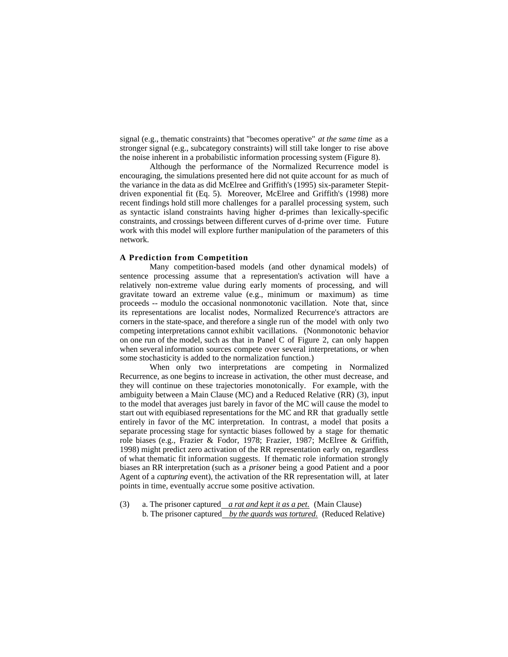signal (e.g., thematic constraints) that "becomes operative" *at the same time* as a stronger signal (e.g., subcategory constraints) will still take longer to rise above the noise inherent in a probabilistic information processing system (Figure 8).

Although the performance of the Normalized Recurrence model is encouraging, the simulations presented here did not quite account for as much of the variance in the data as did McElree and Griffith's (1995) six-parameter Stepitdriven exponential fit (Eq. 5). Moreover, McElree and Griffith's (1998) more recent findings hold still more challenges for a parallel processing system, such as syntactic island constraints having higher d-primes than lexically-specific constraints, and crossings between different curves of d-prime over time. Future work with this model will explore further manipulation of the parameters of this network.

## **A Prediction from Competition**

Many competition-based models (and other dynamical models) of sentence processing assume that a representation's activation will have a relatively non-extreme value during early moments of processing, and will gravitate toward an extreme value (e.g., minimum or maximum) as time proceeds -- modulo the occasional nonmonotonic vacillation. Note that, since its representations are localist nodes, Normalized Recurrence's attractors are corners in the state-space, and therefore a single run of the model with only two competing interpretations cannot exhibit vacillations. (Nonmonotonic behavior on one run of the model, such as that in Panel C of Figure 2, can only happen when several information sources compete over several interpretations, or when some stochasticity is added to the normalization function.)

When only two interpretations are competing in Normalized Recurrence, as one begins to increase in activation, the other must decrease, and they will continue on these trajectories monotonically. For example, with the ambiguity between a Main Clause (MC) and a Reduced Relative (RR) (3), input to the model that averages just barely in favor of the MC will cause the model to start out with equibiased representations for the MC and RR that gradually settle entirely in favor of the MC interpretation. In contrast, a model that posits a separate processing stage for syntactic biases followed by a stage for thematic role biases (e.g., Frazier & Fodor, 1978; Frazier, 1987; McElree & Griffith, 1998) might predict zero activation of the RR representation early on, regardless of what thematic fit information suggests. If thematic role information strongly biases an RR interpretation (such as a *prisoner* being a good Patient and a poor Agent of a *capturing* event), the activation of the RR representation will, at later points in time, eventually accrue some positive activation.

(3) a. The prisoner captured *a rat and kept it as a pet*. (Main Clause) b. The prisoner captured *by the guards was tortured*. (Reduced Relative)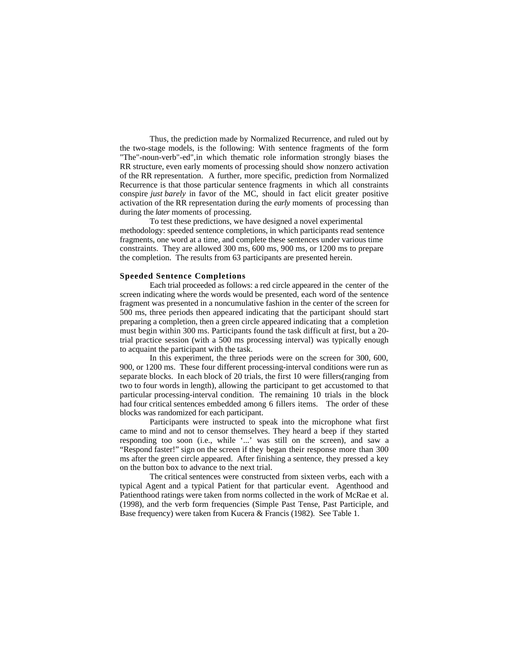Thus, the prediction made by Normalized Recurrence, and ruled out by the two-stage models, is the following: With sentence fragments of the form "The"-noun-verb"-ed", in which thematic role information strongly biases the RR structure, even early moments of processing should show nonzero activation of the RR representation. A further, more specific, prediction from Normalized Recurrence is that those particular sentence fragments in which all constraints conspire *just barely* in favor of the MC, should in fact elicit greater positive activation of the RR representation during the *early* moments of processing than during the *later* moments of processing.

To test these predictions, we have designed a novel experimental methodology: speeded sentence completions, in which participants read sentence fragments, one word at a time, and complete these sentences under various time constraints. They are allowed 300 ms, 600 ms, 900 ms, or 1200 ms to prepare the completion. The results from 63 participants are presented herein.

## **Speeded Sentence Completions**

Each trial proceeded as follows: a red circle appeared in the center of the screen indicating where the words would be presented, each word of the sentence fragment was presented in a noncumulative fashion in the center of the screen for 500 ms, three periods then appeared indicating that the participant should start preparing a completion, then a green circle appeared indicating that a completion must begin within 300 ms. Participants found the task difficult at first, but a 20 trial practice session (with a 500 ms processing interval) was typically enough to acquaint the participant with the task.

In this experiment, the three periods were on the screen for 300, 600, 900, or 1200 ms. These four different processing-interval conditions were run as separate blocks. In each block of 20 trials, the first 10 were fillers(ranging from two to four words in length), allowing the participant to get accustomed to that particular processing-interval condition. The remaining 10 trials in the block had four critical sentences embedded among 6 fillers items. The order of these blocks was randomized for each participant.

Participants were instructed to speak into the microphone what first came to mind and not to censor themselves. They heard a beep if they started responding too soon (i.e., while '...' was still on the screen), and saw a "Respond faster!" sign on the screen if they began their response more than 300 ms after the green circle appeared. After finishing a sentence, they pressed a key on the button box to advance to the next trial.

The critical sentences were constructed from sixteen verbs, each with a typical Agent and a typical Patient for that particular event. Agenthood and Patienthood ratings were taken from norms collected in the work of McRae et al. (1998), and the verb form frequencies (Simple Past Tense, Past Participle, and Base frequency) were taken from Kucera & Francis (1982). See Table 1.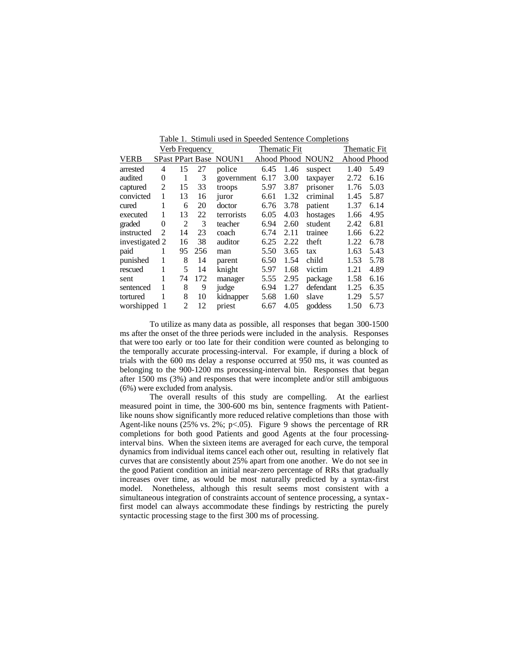|                | Verb Frequency |                |     |                        | Thematic Fit |      |                   |             | Thematic Fit |  |
|----------------|----------------|----------------|-----|------------------------|--------------|------|-------------------|-------------|--------------|--|
| <b>VERB</b>    |                |                |     | SPast PPart Base NOUN1 |              |      | Ahood Phood NOUN2 | Ahood Phood |              |  |
| arrested       | 4              | 15             | 27  | police                 | 6.45         | 1.46 | suspect           | 1.40        | 5.49         |  |
| audited        | $\overline{0}$ | 1              | 3   | government             | 6.17         | 3.00 | taxpayer          | 2.72        | 6.16         |  |
| captured       | $\overline{c}$ | 15             | 33  | troops                 | 5.97         | 3.87 | prisoner          | 1.76        | 5.03         |  |
| convicted      | 1              | 13             | 16  | juror                  | 6.61         | 1.32 | criminal          | 1.45        | 5.87         |  |
| cured          | 1              | 6              | 20  | doctor                 | 6.76         | 3.78 | patient           | 1.37        | 6.14         |  |
| executed       | 1              | 13             | 22  | terrorists             | 6.05         | 4.03 | hostages          | 1.66        | 4.95         |  |
| graded         | 0              | $\overline{2}$ | 3   | teacher                | 6.94         | 2.60 | student           | 2.42        | 6.81         |  |
| instructed     | 2              | 14             | 23  | coach                  | 6.74         | 2.11 | trainee           | 1.66        | 6.22         |  |
| investigated 2 |                | 16             | 38  | auditor                | 6.25         | 2.22 | theft             | 1.22        | 6.78         |  |
| paid           | 1              | 95             | 256 | man                    | 5.50         | 3.65 | tax               | 1.63        | 5.43         |  |
| punished       | 1              | 8              | 14  | parent                 | 6.50         | 1.54 | child             | 1.53        | 5.78         |  |
| rescued        | 1              | 5              | 14  | knight                 | 5.97         | 1.68 | victim            | 1.21        | 4.89         |  |
| sent           | 1              | 74             | 172 | manager                | 5.55         | 2.95 | package           | 1.58        | 6.16         |  |
| sentenced      | 1              | 8              | 9   | judge                  | 6.94         | 1.27 | defendant         | 1.25        | 6.35         |  |
| tortured       | 1              | 8              | 10  | kidnapper              | 5.68         | 1.60 | slave             | 1.29        | 5.57         |  |
| worshipped 1   |                | $\overline{c}$ | 12  | priest                 | 6.67         | 4.05 | goddess           | 1.50        | 6.73         |  |

Table 1. Stimuli used in Speeded Sentence Completions

To utilize as many data as possible, all responses that began 300-1500 ms after the onset of the three periods were included in the analysis. Responses that were too early or too late for their condition were counted as belonging to the temporally accurate processing-interval. For example, if during a block of trials with the 600 ms delay a response occurred at 950 ms, it was counted as belonging to the 900-1200 ms processing-interval bin. Responses that began after 1500 ms (3%) and responses that were incomplete and/or still ambiguous (6%) were excluded from analysis.

The overall results of this study are compelling. At the earliest measured point in time, the 300-600 ms bin, sentence fragments with Patientlike nouns show significantly more reduced relative completions than those with Agent-like nouns  $(25\% \text{ vs. } 2\%; \text{ p} < 0.05)$ . Figure 9 shows the percentage of RR completions for both good Patients and good Agents at the four processinginterval bins. When the sixteen items are averaged for each curve, the temporal dynamics from individual items cancel each other out, resulting in relatively flat curves that are consistently about 25% apart from one another. We do not see in the good Patient condition an initial near-zero percentage of RRs that gradually increases over time, as would be most naturally predicted by a syntax-first model. Nonetheless, although this result seems most consistent with a simultaneous integration of constraints account of sentence processing, a syntaxfirst model can always accommodate these findings by restricting the purely syntactic processing stage to the first 300 ms of processing.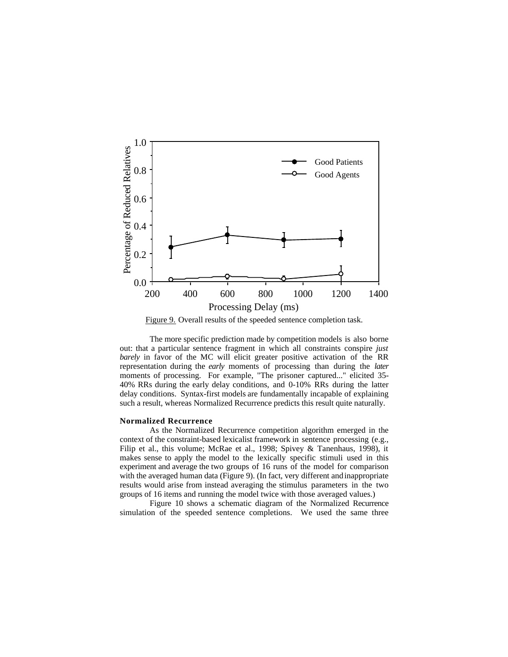

Figure 9. Overall results of the speeded sentence completion task.

The more specific prediction made by competition models is also borne out: that a particular sentence fragment in which all constraints conspire *just barely* in favor of the MC will elicit greater positive activation of the RR representation during the *early* moments of processing than during the *later* moments of processing. For example, "The prisoner captured..." elicited 35-40% RRs during the early delay conditions, and 0-10% RRs during the latter delay conditions. Syntax-first models are fundamentally incapable of explaining such a result, whereas Normalized Recurrence predicts this result quite naturally.

#### **Normalized Recurrence**

As the Normalized Recurrence competition algorithm emerged in the context of the constraint-based lexicalist framework in sentence processing (e.g., Filip et al., this volume; McRae et al., 1998; Spivey & Tanenhaus, 1998), it makes sense to apply the model to the lexically specific stimuli used in this experiment and average the two groups of 16 runs of the model for comparison with the averaged human data (Figure 9). (In fact, very different and inappropriate results would arise from instead averaging the stimulus parameters in the two groups of 16 items and running the model twice with those averaged values.)

Figure 10 shows a schematic diagram of the Normalized Recurrence simulation of the speeded sentence completions. We used the same three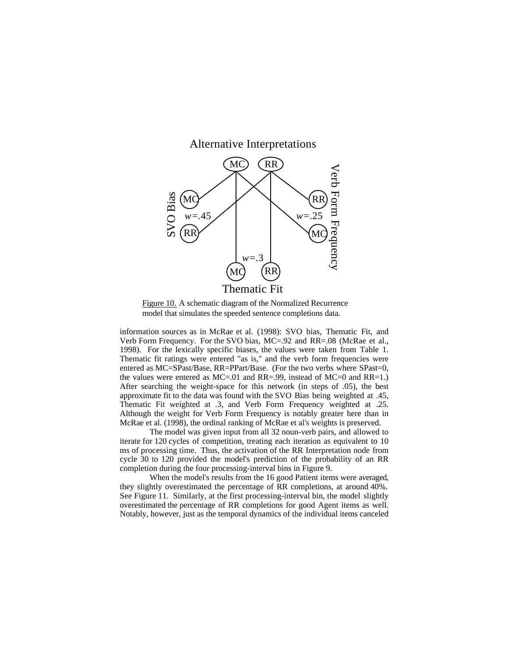

Figure 10. A schematic diagram of the Normalized Recurrence model that simulates the speeded sentence completions data.

information sources as in McRae et al. (1998): SVO bias, Thematic Fit, and Verb Form Frequency. For the SVO bias, MC=.92 and RR=.08 (McRae et al., 1998). For the lexically specific biases, the values were taken from Table 1. Thematic fit ratings were entered "as is," and the verb form frequencies were entered as MC=SPast/Base, RR=PPart/Base. (For the two verbs where SPast=0, the values were entered as MC=.01 and RR=.99, instead of MC=0 and RR=1.) After searching the weight-space for this network (in steps of .05), the best approximate fit to the data was found with the SVO Bias being weighted at .45, Thematic Fit weighted at .3, and Verb Form Frequency weighted at .25. Although the weight for Verb Form Frequency is notably greater here than in McRae et al. (1998), the ordinal ranking of McRae et al's weights is preserved.

The model was given input from all 32 noun-verb pairs, and allowed to iterate for 120 cycles of competition, treating each iteration as equivalent to 10 ms of processing time. Thus, the activation of the RR Interpretation node from cycle 30 to 120 provided the model's prediction of the probability of an RR completion during the four processing-interval bins in Figure 9.

When the model's results from the 16 good Patient items were averaged, they slightly overestimated the percentage of RR completions, at around 40%. See Figure 11. Similarly, at the first processing-interval bin, the model slightly overestimated the percentage of RR completions for good Agent items as well. Notably, however, just as the temporal dynamics of the individual items canceled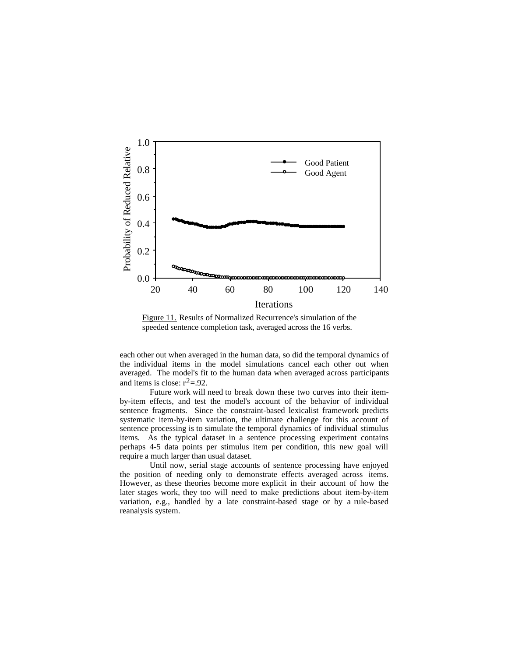

Figure 11. Results of Normalized Recurrence's simulation of the speeded sentence completion task, averaged across the 16 verbs.

each other out when averaged in the human data, so did the temporal dynamics of the individual items in the model simulations cancel each other out when averaged. The model's fit to the human data when averaged across participants and items is close:  $r^2$ =.92.

Future work will need to break down these two curves into their itemby-item effects, and test the model's account of the behavior of individual sentence fragments. Since the constraint-based lexicalist framework predicts systematic item-by-item variation, the ultimate challenge for this account of sentence processing is to simulate the temporal dynamics of individual stimulus items. As the typical dataset in a sentence processing experiment contains perhaps 4-5 data points per stimulus item per condition, this new goal will require a much larger than usual dataset.

Until now, serial stage accounts of sentence processing have enjoyed the position of needing only to demonstrate effects averaged across items. However, as these theories become more explicit in their account of how the later stages work, they too will need to make predictions about item-by-item variation, e.g., handled by a late constraint-based stage or by a rule-based reanalysis system.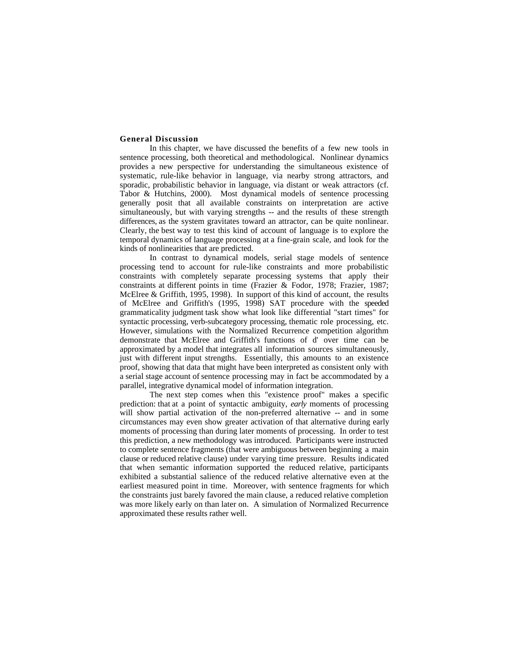## **General Discussion**

In this chapter, we have discussed the benefits of a few new tools in sentence processing, both theoretical and methodological. Nonlinear dynamics provides a new perspective for understanding the simultaneous existence of systematic, rule-like behavior in language, via nearby strong attractors, and sporadic, probabilistic behavior in language, via distant or weak attractors (cf. Tabor & Hutchins, 2000). Most dynamical models of sentence processing generally posit that all available constraints on interpretation are active simultaneously, but with varying strengths -- and the results of these strength differences, as the system gravitates toward an attractor, can be quite nonlinear. Clearly, the best way to test this kind of account of language is to explore the temporal dynamics of language processing at a fine-grain scale, and look for the kinds of nonlinearities that are predicted.

In contrast to dynamical models, serial stage models of sentence processing tend to account for rule-like constraints and more probabilistic constraints with completely separate processing systems that apply their constraints at different points in time (Frazier & Fodor, 1978; Frazier, 1987; McElree & Griffith, 1995, 1998). In support of this kind of account, the results of McElree and Griffith's (1995, 1998) SAT procedure with the speeded grammaticality judgment task show what look like differential "start times" for syntactic processing, verb-subcategory processing, thematic role processing, etc. However, simulations with the Normalized Recurrence competition algorithm demonstrate that McElree and Griffith's functions of d' over time can be approximated by a model that integrates all information sources simultaneously, just with different input strengths. Essentially, this amounts to an existence proof, showing that data that might have been interpreted as consistent only with a serial stage account of sentence processing may in fact be accommodated by a parallel, integrative dynamical model of information integration.

The next step comes when this "existence proof" makes a specific prediction: that at a point of syntactic ambiguity, *early* moments of processing will show partial activation of the non-preferred alternative -- and in some circumstances may even show greater activation of that alternative during early moments of processing than during later moments of processing. In order to test this prediction, a new methodology was introduced. Participants were instructed to complete sentence fragments (that were ambiguous between beginning a main clause or reduced relative clause) under varying time pressure. Results indicated that when semantic information supported the reduced relative, participants exhibited a substantial salience of the reduced relative alternative even at the earliest measured point in time. Moreover, with sentence fragments for which the constraints just barely favored the main clause, a reduced relative completion was more likely early on than later on. A simulation of Normalized Recurrence approximated these results rather well.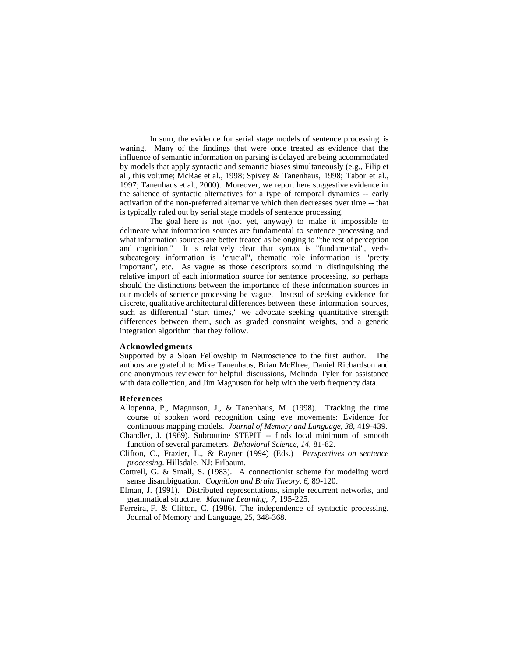In sum, the evidence for serial stage models of sentence processing is waning. Many of the findings that were once treated as evidence that the influence of semantic information on parsing is delayed are being accommodated by models that apply syntactic and semantic biases simultaneously (e.g., Filip et al., this volume; McRae et al., 1998; Spivey & Tanenhaus, 1998; Tabor et al., 1997; Tanenhaus et al., 2000). Moreover, we report here suggestive evidence in the salience of syntactic alternatives for a type of temporal dynamics -- early activation of the non-preferred alternative which then decreases over time -- that is typically ruled out by serial stage models of sentence processing.

The goal here is not (not yet, anyway) to make it impossible to delineate what information sources are fundamental to sentence processing and what information sources are better treated as belonging to "the rest of perception and cognition." It is relatively clear that syntax is "fundamental", verbsubcategory information is "crucial", thematic role information is "pretty important", etc. As vague as those descriptors sound in distinguishing the relative import of each information source for sentence processing, so perhaps should the distinctions between the importance of these information sources in our models of sentence processing be vague. Instead of seeking evidence for discrete, qualitative architectural differences between these information sources, such as differential "start times," we advocate seeking quantitative strength differences between them, such as graded constraint weights, and a generic integration algorithm that they follow.

## **Acknowledgments**

Supported by a Sloan Fellowship in Neuroscience to the first author. The authors are grateful to Mike Tanenhaus, Brian McElree, Daniel Richardson and one anonymous reviewer for helpful discussions, Melinda Tyler for assistance with data collection, and Jim Magnuson for help with the verb frequency data.

#### **References**

- Allopenna, P., Magnuson, J., & Tanenhaus, M. (1998). Tracking the time course of spoken word recognition using eye movements: Evidence for continuous mapping models. *Journal of Memory and Language, 38*, 419-439.
- Chandler, J. (1969). Subroutine STEPIT -- finds local minimum of smooth function of several parameters. *Behavioral Science, 14*, 81-82.
- Clifton, C., Frazier, L., & Rayner (1994) (Eds.) *Perspectives on sentence processing*. Hillsdale, NJ: Erlbaum.
- Cottrell, G. & Small, S. (1983). A connectionist scheme for modeling word sense disambiguation. *Cognition and Brain Theory, 6*, 89-120.
- Elman, J. (1991). Distributed representations, simple recurrent networks, and grammatical structure. *Machine Learning*, *7*, 195-225.
- Ferreira, F. & Clifton, C. (1986). The independence of syntactic processing. Journal of Memory and Language, 25, 348-368.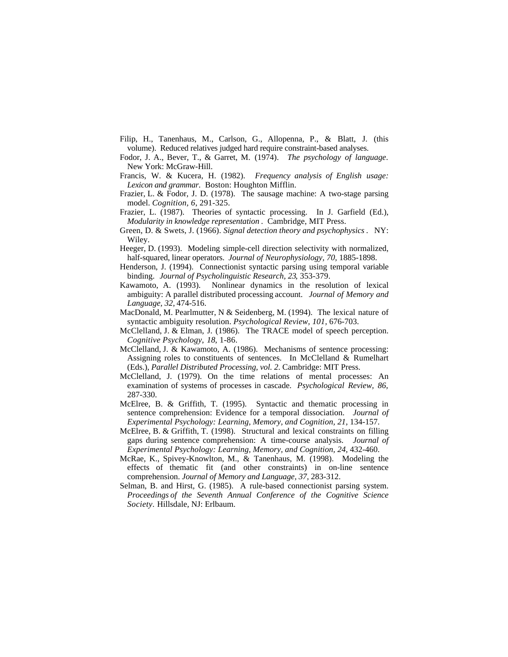- Filip, H., Tanenhaus, M., Carlson, G., Allopenna, P., & Blatt, J. (this volume). Reduced relatives judged hard require constraint-based analyses.
- Fodor, J. A., Bever, T., & Garret, M. (1974). *The psychology of language*. New York: McGraw-Hill.
- Francis, W. & Kucera, H. (1982). *Frequency analysis of English usage: Lexicon and grammar*. Boston: Houghton Mifflin.
- Frazier, L. & Fodor, J. D. (1978). The sausage machine: A two-stage parsing model. *Cognition, 6*, 291-325.
- Frazier, L. (1987). Theories of syntactic processing. In J. Garfield (Ed.), *Modularity in knowledge representation .* Cambridge, MIT Press.
- Green, D. & Swets, J. (1966). *Signal detection theory and psychophysics* . NY: Wiley.
- Heeger, D. (1993). Modeling simple-cell direction selectivity with normalized, half-squared, linear operators. *Journal of Neurophysiology, 70,* 1885-1898.
- Henderson, J. (1994). Connectionist syntactic parsing using temporal variable binding. *Journal of Psycholinguistic Research, 23*, 353-379.
- Kawamoto, A. (1993). Nonlinear dynamics in the resolution of lexical ambiguity: A parallel distributed processing account. *Journal of Memory and Language, 32,* 474-516.
- MacDonald, M. Pearlmutter, N  $\&$  Seidenberg, M. (1994). The lexical nature of syntactic ambiguity resolution. *Psychological Review, 101,* 676-703.
- McClelland, J. & Elman, J. (1986). The TRACE model of speech perception. *Cognitive Psychology*, *18*, 1-86.
- McClelland, J. & Kawamoto, A. (1986). Mechanisms of sentence processing: Assigning roles to constituents of sentences. In McClelland & Rumelhart (Eds.), *Parallel Distributed Processing, vol. 2*. Cambridge: MIT Press.
- McClelland, J. (1979). On the time relations of mental processes: An examination of systems of processes in cascade. *Psychological Review, 86,* 287-330.
- McElree, B. & Griffith, T. (1995). Syntactic and thematic processing in sentence comprehension: Evidence for a temporal dissociation. *Journal of Experimental Psychology: Learning, Memory, and Cognition, 21,* 134-157.
- McElree, B. & Griffith, T. (1998). Structural and lexical constraints on filling gaps during sentence comprehension: A time-course analysis. *Journal of Experimental Psychology: Learning, Memory, and Cognition, 24,* 432-460.
- McRae, K., Spivey-Knowlton, M., & Tanenhaus, M. (1998). Modeling the effects of thematic fit (and other constraints) in on-line sentence comprehension. *Journal of Memory and Language, 37,* 283-312.
- Selman, B. and Hirst, G. (1985). A rule-based connectionist parsing system. *Proceedings of the Seventh Annual Conference of the Cognitive Science Society.* Hillsdale, NJ: Erlbaum.